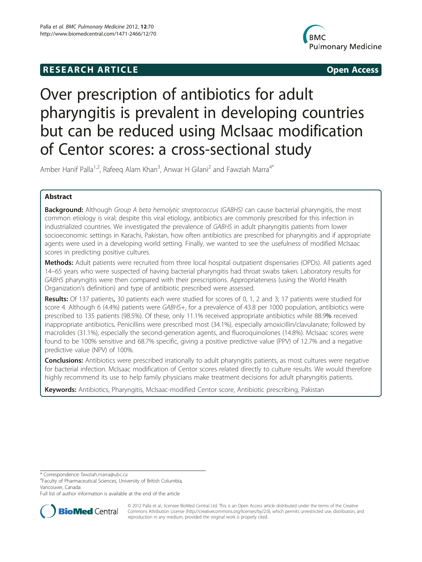## **RESEARCH ARTICLE Example 2014 The SEAR CH ACCESS**



# Over prescription of antibiotics for adult pharyngitis is prevalent in developing countries but can be reduced using McIsaac modification of Centor scores: a cross-sectional study

Amber Hanif Palla<sup>1,2</sup>, Rafeeq Alam Khan<sup>3</sup>, Anwar H Gilani<sup>2</sup> and Fawziah Marra<sup>4\*</sup>

## Abstract

**Background:** Although Group A beta hemolytic streptococcus (GABHS) can cause bacterial pharyngitis, the most common etiology is viral; despite this viral etiology, antibiotics are commonly prescribed for this infection in industrialized countries. We investigated the prevalence of GABHS in adult pharyngitis patients from lower socioeconomic settings in Karachi, Pakistan, how often antibiotics are prescribed for pharyngitis and if appropriate agents were used in a developing world setting. Finally, we wanted to see the usefulness of modified McIsaac scores in predicting positive cultures.

Methods: Adult patients were recruited from three local hospital outpatient dispensaries (OPDs). All patients aged 14–65 years who were suspected of having bacterial pharyngitis had throat swabs taken. Laboratory results for GABHS pharyngitis were then compared with their prescriptions. Appropriateness (using the World Health Organization's definition) and type of antibiotic prescribed were assessed.

Results: Of 137 patients, 30 patients each were studied for scores of 0, 1, 2 and 3; 17 patients were studied for score 4. Although 6 (4.4%) patients were GABHS+, for a prevalence of 43.8 per 1000 population, antibiotics were prescribed to 135 patients (98.5%). Of these, only 11.1% received appropriate antibiotics while 88.9% received inappropriate antibiotics. Penicillins were prescribed most (34.1%), especially amoxicillin/clavulanate; followed by macrolides (31.1%), especially the second-generation agents, and fluoroquinolones (14.8%). McIsaac scores were found to be 100% sensitive and 68.7% specific, giving a positive predictive value (PPV) of 12.7% and a negative predictive value (NPV) of 100%.

**Conclusions:** Antibiotics were prescribed irrationally to adult pharyngitis patients, as most cultures were negative for bacterial infection. McIsaac modification of Centor scores related directly to culture results. We would therefore highly recommend its use to help family physicians make treatment decisions for adult pharyngitis patients.

Keywords: Antibiotics, Pharyngitis, McIsaac-modified Centor score, Antibiotic prescribing, Pakistan

\* Correspondence: [fawziah.marra@ubc.ca](mailto:fawziah.marra@ubc.ca) <sup>4</sup>

Faculty of Pharmaceutical Sciences, University of British Columbia, Vancouver, Canada

Full list of author information is available at the end of the article



© 2012 Palla et al.; licensee BioMed Central Ltd. This is an Open Access article distributed under the terms of the Creative Commons Attribution License [\(http://creativecommons.org/licenses/by/2.0\)](http://creativecommons.org/licenses/by/2.0), which permits unrestricted use, distribution, and reproduction in any medium, provided the original work is properly cited.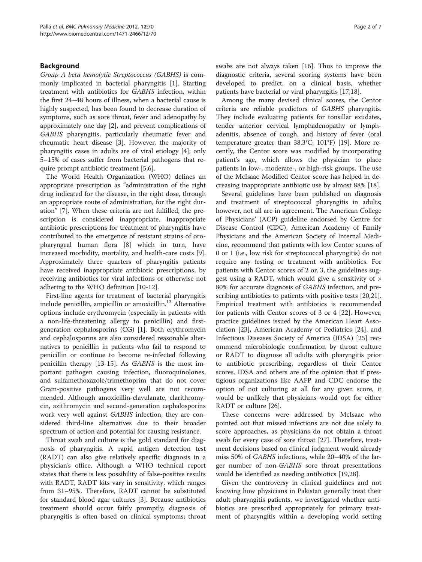## Background

Group A beta hemolytic Streptococcus (GABHS) is commonly implicated in bacterial pharyngitis [[1\]](#page-6-0). Starting treatment with antibiotics for GABHS infection, within the first 24–48 hours of illness, when a bacterial cause is highly suspected, has been found to decrease duration of symptoms, such as sore throat, fever and adenopathy by approximately one day [[2\]](#page-6-0), and prevent complications of GABHS pharyngitis, particularly rheumatic fever and rheumatic heart disease [[3](#page-6-0)]. However, the majority of pharyngitis cases in adults are of viral etiology [\[4\]](#page-6-0); only 5–15% of cases suffer from bacterial pathogens that require prompt antibiotic treatment [[5,6\]](#page-6-0).

The World Health Organization (WHO) defines an appropriate prescription as "administration of the right drug indicated for the disease, in the right dose, through an appropriate route of administration, for the right duration" [[7\]](#page-6-0). When these criteria are not fulfilled, the prescription is considered inappropriate. Inappropriate antibiotic prescriptions for treatment of pharyngitis have contributed to the emergence of resistant strains of oropharyngeal human flora [\[8](#page-6-0)] which in turn, have increased morbidity, mortality, and health-care costs [\[9](#page-6-0)]. Approximately three quarters of pharyngitis patients have received inappropriate antibiotic prescriptions, by receiving antibiotics for viral infections or otherwise not adhering to the WHO definition [[10-12](#page-6-0)].

First-line agents for treatment of bacterial pharyngitis include penicillin, ampicillin or amoxicillin.<sup>13</sup> Alternative options include erythromycin (especially in patients with a non-life-threatening allergy to penicillin) and firstgeneration cephalosporins (CG) [\[1](#page-6-0)]. Both erythromycin and cephalosporins are also considered reasonable alternatives to penicillin in patients who fail to respond to penicillin or continue to become re-infected following penicillin therapy [\[13](#page-6-0)-[15\]](#page-6-0). As GABHS is the most important pathogen causing infection, fluoroquinolones, and sulfamethoxazole/trimethoprim that do not cover Gram-positive pathogens very well are not recommended. Although amoxicillin-clavulanate, clarithromycin, azithromycin and second-generation cephalosporins work very well against GABHS infection, they are considered third-line alternatives due to their broader spectrum of action and potential for causing resistance.

Throat swab and culture is the gold standard for diagnosis of pharyngitis. A rapid antigen detection test (RADT) can also give relatively specific diagnosis in a physician's office. Although a WHO technical report states that there is less possibility of false-positive results with RADT, RADT kits vary in sensitivity, which ranges from 31–95%. Therefore, RADT cannot be substituted for standard blood agar cultures [\[3\]](#page-6-0). Because antibiotics treatment should occur fairly promptly, diagnosis of pharyngitis is often based on clinical symptoms; throat swabs are not always taken [[16](#page-6-0)]. Thus to improve the diagnostic criteria, several scoring systems have been developed to predict, on a clinical basis, whether patients have bacterial or viral pharyngitis [[17,18\]](#page-6-0).

Among the many devised clinical scores, the Centor criteria are reliable predictors of GABHS pharyngitis. They include evaluating patients for tonsillar exudates, tender anterior cervical lymphadenopathy or lymphadenitis, absence of cough, and history of fever (oral temperature greater than 38.3°C; 101°F) [[19\]](#page-6-0). More recently, the Centor score was modified by incorporating patient's age, which allows the physician to place patients in low-, moderate-, or high-risk groups. The use of the McIsaac Modified Centor score has helped in decreasing inappropriate antibiotic use by almost 88% [\[18](#page-6-0)].

Several guidelines have been published on diagnosis and treatment of streptococcal pharyngitis in adults; however, not all are in agreement. The American College of Physicians' (ACP) guideline endorsed by Centre for Disease Control (CDC), American Academy of Family Physicians and the American Society of Internal Medicine, recommend that patients with low Centor scores of 0 or 1 (i.e., low risk for streptococcal pharyngitis) do not require any testing or treatment with antibiotics. For patients with Centor scores of 2 or, 3, the guidelines suggest using a RADT, which would give a sensitivity of > 80% for accurate diagnosis of GABHS infection, and pre-scribing antibiotics to patients with positive tests [\[20,21](#page-6-0)]. Empirical treatment with antibiotics is recommended for patients with Centor scores of 3 or 4 [[22\]](#page-6-0). However, practice guidelines issued by the American Heart Association [[23](#page-6-0)], American Academy of Pediatrics [\[24](#page-6-0)], and Infectious Diseases Society of America (IDSA) [[25\]](#page-6-0) recommend microbiologic confirmation by throat culture or RADT to diagnose all adults with pharyngitis prior to antibiotic prescribing, regardless of their Centor scores. IDSA and others are of the opinion that if prestigious organizations like AAFP and CDC endorse the option of not culturing at all for any given score, it would be unlikely that physicians would opt for either RADT or culture [\[26](#page-6-0)].

These concerns were addressed by McIsaac who pointed out that missed infections are not due solely to score approaches, as physicians do not obtain a throat swab for every case of sore throat [[27\]](#page-6-0). Therefore, treatment decisions based on clinical judgment would already miss 50% of GABHS infections, while 20–40% of the larger number of non-GABHS sore throat presentations would be identified as needing antibiotics [\[19,28\]](#page-6-0).

Given the controversy in clinical guidelines and not knowing how physicians in Pakistan generally treat their adult pharyngitis patients, we investigated whether antibiotics are prescribed appropriately for primary treatment of pharyngitis within a developing world setting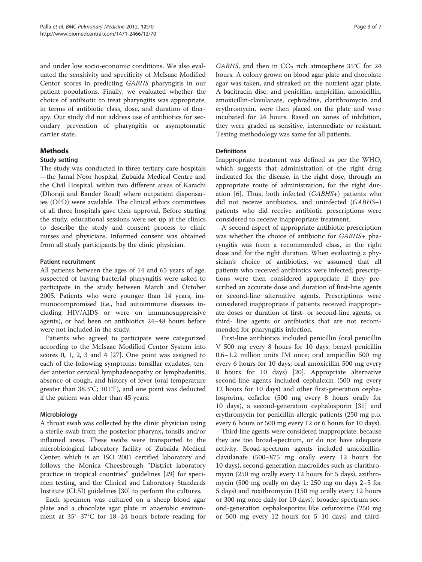and under low socio-economic conditions. We also evaluated the sensitivity and specificity of McIsaac Modified Centor scores in predicting GABHS pharyngitis in our patient populations. Finally, we evaluated whether the choice of antibiotic to treat pharyngitis was appropriate, in terms of antibiotic class, dose, and duration of therapy. Our study did not address use of antibiotics for secondary prevention of pharyngitis or asymptomatic carrier state.

## Methods

#### Study setting

The study was conducted in three tertiary care hospitals —the Jamal Noor hospital, Zubaida Medical Centre and the Civil Hospital, within two different areas of Karachi (Dhoraji and Bander Road) where outpatient dispensaries (OPD) were available. The clinical ethics committees of all three hospitals gave their approval. Before starting the study, educational sessions were set up at the clinics to describe the study and consent process to clinic nurses and physicians. Informed consent was obtained from all study participants by the clinic physician.

#### Patient recruitment

All patients between the ages of 14 and 65 years of age, suspected of having bacterial pharyngitis were asked to participate in the study between March and October 2005. Patients who were younger than 14 years, immunocompromised (i.e., had autoimmune diseases including HIV/AIDS or were on immunosuppressive agents), or had been on antibiotics 24–48 hours before were not included in the study.

Patients who agreed to participate were categorized according to the McIsaac Modified Centor System into scores 0, 1, 2, 3 and 4 [[27\]](#page-6-0). One point was assigned to each of the following symptoms: tonsillar exudates, tender anterior cervical lymphadenopathy or lymphadenitis, absence of cough, and history of fever (oral temperature greater than 38.3°C; 101°F), and one point was deducted if the patient was older than 45 years.

## Microbiology

A throat swab was collected by the clinic physician using a sterile swab from the posterior pharynx, tonsils and/or inflamed areas. These swabs were transported to the microbiological laboratory facility of Zubaida Medical Center, which is an ISO 2001 certified laboratory and follows the Monica Cheesbrough "District laboratory practice in tropical countries" guidelines [[29\]](#page-6-0) for specimen testing, and the Clinical and Laboratory Standards Institute (CLSI) guidelines [[30\]](#page-6-0) to perform the cultures.

Each specimen was cultured on a sheep blood agar plate and a chocolate agar plate in anaerobic environment at 35°–37°C for 18–24 hours before reading for GABHS, and then in  $CO<sub>2</sub>$  rich atmosphere 35°C for 24 hours. A colony grown on blood agar plate and chocolate agar was taken, and streaked on the nutrient agar plate. A bacitracin disc, and penicillin, ampicillin, amoxicillin, amoxicillin-clavulanate, cephradine, clarithromycin and erythromycin, were then placed on the plate and were incubated for 24 hours. Based on zones of inhibition, they were graded as sensitive, intermediate or resistant. Testing methodology was same for all patients.

## **Definitions**

Inappropriate treatment was defined as per the WHO, which suggests that administration of the right drug indicated for the disease, in the right dose, through an appropriate route of administration, for the right duration  $[6]$  $[6]$ . Thus, both infected  $(GABHS+)$  patients who did not receive antibiotics, and uninfected (GABHS–) patients who did receive antibiotic prescriptions were considered to receive inappropriate treatment.

A second aspect of appropriate antibiotic prescription was whether the choice of antibiotic for GABHS+ pharyngitis was from a recommended class, in the right dose and for the right duration. When evaluating a physician's choice of antibiotics, we assumed that all patients who received antibiotics were infected; prescriptions were then considered appropriate if they prescribed an accurate dose and duration of first-line agents or second-line alternative agents. Prescriptions were considered inappropriate if patients received inappropriate doses or duration of first- or second-line agents, or third- line agents or antibiotics that are not recommended for pharyngitis infection.

First-line antibiotics included penicillin (oral penicillin V 500 mg every 8 hours for 10 days; benzyl penicillin 0.6–1.2 million units IM once; oral ampicillin 500 mg every 6 hours for 10 days; oral amoxicillin 500 mg every 8 hours for 10 days) [\[20\]](#page-6-0). Appropriate alternative second-line agents included cephalexin (500 mg every 12 hours for 10 days) and other first-generation cephalosporins, cefaclor (500 mg every 8 hours orally for 10 days), a second-generation cephalosporin [\[31\]](#page-6-0) and erythromycin for penicillin-allergic patients (250 mg p.o. every 6 hours or 500 mg every 12 or 6 hours for 10 days).

Third-line agents were considered inappropriate, because they are too broad-spectrum, or do not have adequate activity. Broad-spectrum agents included amoxicillinclavulanate (500–875 mg orally every 12 hours for 10 days), second-generation macrolides such as clarithromycin (250 mg orally every 12 hours for 5 days), azithromycin (500 mg orally on day 1; 250 mg on days 2–5 for 5 days) and roxithromycin (150 mg orally every 12 hours or 300 mg once daily for 10 days), broader-spectrum second-generation cephalosporins like cefuroxime (250 mg or 500 mg every 12 hours for 5–10 days) and third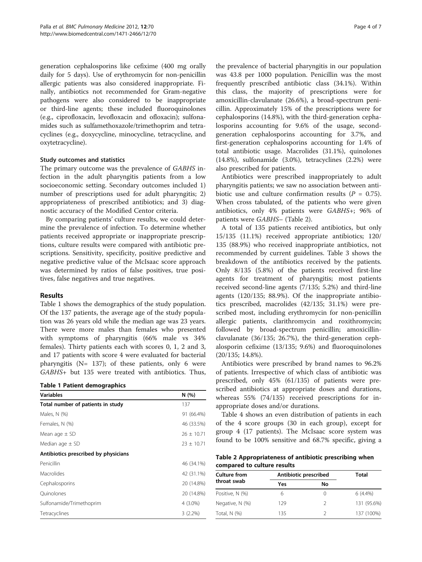generation cephalosporins like cefixime (400 mg orally daily for 5 days). Use of erythromycin for non-penicillin allergic patients was also considered inappropriate. Finally, antibiotics not recommended for Gram-negative pathogens were also considered to be inappropriate or third-line agents; these included fluoroquinolones (e.g., ciprofloxacin, levofloxacin and ofloxacin); sulfonamides such as sulfamethoxazole/trimethoprim and tetracyclines (e.g., doxycycline, minocycline, tetracycline, and oxytetracycline).

#### Study outcomes and statistics

The primary outcome was the prevalence of GABHS infection in the adult pharyngitis patients from a low socioeconomic setting. Secondary outcomes included 1) number of prescriptions used for adult pharyngitis; 2) appropriateness of prescribed antibiotics; and 3) diagnostic accuracy of the Modified Centor criteria.

By comparing patients' culture results, we could determine the prevalence of infection. To determine whether patients received appropriate or inappropriate prescriptions, culture results were compared with antibiotic prescriptions. Sensitivity, specificity, positive predictive and negative predictive value of the McIsaac score approach was determined by ratios of false positives, true positives, false negatives and true negatives.

## Results

Table 1 shows the demographics of the study population. Of the 137 patients, the average age of the study population was 26 years old while the median age was 23 years. There were more males than females who presented with symptoms of pharyngitis (66% male vs 34% females). Thirty patients each with scores 0, 1, 2 and 3, and 17 patients with score 4 were evaluated for bacterial pharyngitis ( $N = 137$ ); of these patients, only 6 were GABHS+ but 135 were treated with antibiotics. Thus,

| <b>Table 1 Patient demographics</b> |  |
|-------------------------------------|--|
|-------------------------------------|--|

| <b>Variables</b>                     | N(%)           |
|--------------------------------------|----------------|
| Total number of patients in study    | 137            |
| Males, N (%)                         | 91 (66.4%)     |
| Females, N (%)                       | 46 (33.5%)     |
| Mean age $\pm$ SD                    | $26 \pm 10.71$ |
| Median age $\pm$ SD                  | $23 \pm 10.71$ |
| Antibiotics prescribed by physicians |                |
| Penicillin                           | 46 (34.1%)     |
| Macrolides                           | 42 (31.1%)     |
| Cephalosporins                       | 20 (14.8%)     |
| Ouinolones                           | 20 (14.8%)     |
| Sulfonamide/Trimethoprim             | $4(3.0\%)$     |
| Tetracyclines                        | $3(2.2\%)$     |

the prevalence of bacterial pharyngitis in our population was 43.8 per 1000 population. Penicillin was the most frequently prescribed antibiotic class (34.1%). Within this class, the majority of prescriptions were for amoxicillin-clavulanate (26.6%), a broad-spectrum penicillin. Approximately 15% of the prescriptions were for cephalosporins (14.8%), with the third-generation cephalosporins accounting for 9.6% of the usage, secondgeneration cephalosporins accounting for 3.7%, and first-generation cephalosporins accounting for 1.4% of total antibiotic usage. Macrolides (31.1%), quinolones (14.8%), sulfonamide (3.0%), tetracyclines (2.2%) were also prescribed for patients.

Antibiotics were prescribed inappropriately to adult pharyngitis patients; we saw no association between antibiotic use and culture confirmation results ( $P = 0.75$ ). When cross tabulated, of the patients who were given antibiotics, only 4% patients were GABHS+; 96% of patients were GABHS– (Table 2).

A total of 135 patients received antibiotics, but only 15/135 (11.1%) received appropriate antibiotics; 120/ 135 (88.9%) who received inappropriate antibiotics, not recommended by current guidelines. Table [3](#page-4-0) shows the breakdown of the antibiotics received by the patients. Only 8/135 (5.8%) of the patients received first-line agents for treatment of pharyngitis; most patients received second-line agents (7/135; 5.2%) and third-line agents (120/135; 88.9%). Of the inappropriate antibiotics prescribed, macrolides (42/135; 31.1%) were prescribed most, including erythromycin for non-penicillin allergic patients, clarithromycin and roxithromycin; followed by broad-spectrum penicillin; amoxicillinclavulanate (36/135; 26.7%), the third-generation cephalosporin cefixime (13/135; 9.6%) and fluoroquinolones (20/135; 14.8%).

Antibiotics were prescribed by brand names to 96.2% of patients. Irrespective of which class of antibiotic was prescribed, only 45% (61/135) of patients were prescribed antibiotics at appropriate doses and durations, whereas 55% (74/135) received prescriptions for inappropriate doses and/or durations.

Table [4](#page-4-0) shows an even distribution of patients in each of the 4 score groups (30 in each group), except for group 4 (17 patients). The McIsaac score system was found to be 100% sensitive and 68.7% specific, giving a

Table 2 Appropriateness of antibiotic prescribing when compared to culture results

| Culture from      | Antibiotic prescribed |    | Total       |  |
|-------------------|-----------------------|----|-------------|--|
| throat swab       | Yes                   | Νo |             |  |
| Positive, N (%)   | 6                     |    | $6(4.4\%)$  |  |
| Negative, N (%)   | 129                   | 2  | 131 (95.6%) |  |
| Total, $N$ $(\%)$ | 135                   |    | 137 (100%)  |  |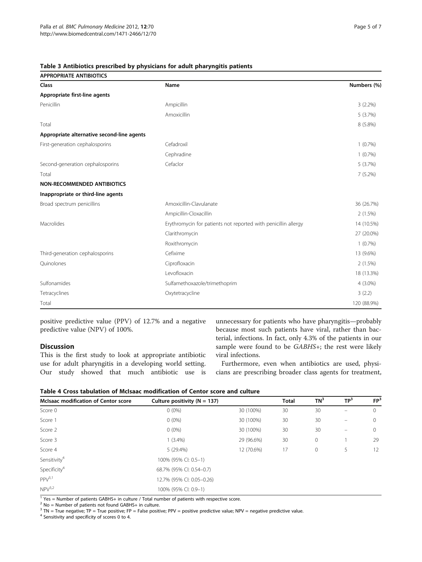| <b>APPROPRIATE ANTIBIOTICS</b>             |                                                                |             |
|--------------------------------------------|----------------------------------------------------------------|-------------|
| Class                                      | Name                                                           | Numbers (%) |
| Appropriate first-line agents              |                                                                |             |
| Penicillin                                 | Ampicillin                                                     | $3(2.2\%)$  |
|                                            | Amoxicillin                                                    | 5(3.7%)     |
| Total                                      |                                                                | 8 (5.8%)    |
| Appropriate alternative second-line agents |                                                                |             |
| First-generation cephalosporins            | Cefadroxil                                                     | $1(0.7\%)$  |
|                                            | Cephradine                                                     | $1(0.7\%)$  |
| Second-generation cephalosporins           | Cefaclor                                                       | 5(3.7%)     |
| Total                                      |                                                                | 7(5.2%)     |
| NON-RECOMMENDED ANTIBIOTICS                |                                                                |             |
| Inappropriate or third-line agents         |                                                                |             |
| Broad spectrum penicillins                 | Amoxicillin-Clavulanate                                        | 36 (26.7%)  |
|                                            | Ampicillin-Cloxacillin                                         | 2(1.5%)     |
| Macrolides                                 | Erythromycin for patients not reported with penicillin allergy | 14 (10.5%)  |
|                                            | Clarithromycin                                                 | 27 (20.0%)  |
|                                            | Roxithromycin                                                  | $1(0.7\%)$  |
| Third-generation cephalosporins            | Cefixime                                                       | 13 (9.6%)   |
| Quinolones                                 | Ciprofloxacin                                                  | 2(1.5%)     |
|                                            | Levofloxacin                                                   | 18 (13.3%)  |
| Sulfonamides                               | Sulfamethoxazole/trimethoprim                                  | $4(3.0\%)$  |
| Tetracyclines                              | Oxytetracycline                                                | 3(2.2)      |
| Total                                      |                                                                | 120 (88.9%) |

#### <span id="page-4-0"></span>Table 3 Antibiotics prescribed by physicians for adult pharyngitis patients

positive predictive value (PPV) of 12.7% and a negative predictive value (NPV) of 100%.

## Discussion

This is the first study to look at appropriate antibiotic use for adult pharyngitis in a developing world setting. Our study showed that much antibiotic use is unnecessary for patients who have pharyngitis—probably because most such patients have viral, rather than bacterial, infections. In fact, only 4.3% of the patients in our sample were found to be GABHS+; the rest were likely viral infections.

Furthermore, even when antibiotics are used, physicians are prescribing broader class agents for treatment,

|  |  | Table 4 Cross tabulation of McIsaac modification of Centor score and culture |
|--|--|------------------------------------------------------------------------------|
|--|--|------------------------------------------------------------------------------|

| <b>McIsaac modification of Centor score</b> | Culture positivity ( $N = 137$ ) |            | <b>Total</b> | $TN^3$       | TP <sup>3</sup>          | FP <sup>3</sup> |
|---------------------------------------------|----------------------------------|------------|--------------|--------------|--------------------------|-----------------|
| Score 0                                     | $0(0\%)$                         | 30 (100%)  | 30           | 30           | $\overline{\phantom{0}}$ | $\mathbf{0}$    |
| Score 1                                     | $0(0\%)$                         | 30 (100%)  | 30           | 30           | -                        | $\mathbf{0}$    |
| Score 2                                     | $0(0\%)$                         | 30 (100%)  | 30           | 30           | $\overline{\phantom{0}}$ | $\mathbf{0}$    |
| Score 3                                     | $1(3.4\%)$                       | 29 (96.6%) | 30           | 0            |                          | 29              |
| Score 4                                     | 5(29.4%)                         | 12 (70.6%) | 17           | $\mathbf{0}$ | 5                        | 12              |
| Sensitivity <sup>4</sup>                    | 100% (95% CI: 0.5-1)             |            |              |              |                          |                 |
| Specificity <sup>4</sup>                    | 68.7% (95% CI: 0.54-0.7)         |            |              |              |                          |                 |
| $PPV^{3,1}$                                 | 12.7% (95% CI: 0.05-0.26)        |            |              |              |                          |                 |
| NPV <sup>3,2</sup>                          | 100% (95% CI: 0.9-1)             |            |              |              |                          |                 |

 $\frac{1}{1}$  Yes = Number of patients GABHS+ in culture / Total number of patients with respective score.

 $2$  No = Number of patients not found GABHS+ in culture.

<sup>3</sup> TN = True negative; TP = True positive; FP = False positive; PPV = positive predictive value; NPV = negative predictive value.

<sup>4</sup> Sensitivity and specificity of scores 0 to 4.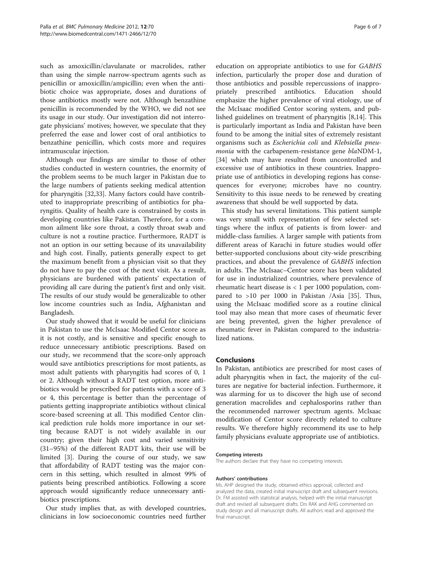such as amoxicillin/clavulanate or macrolides, rather than using the simple narrow-spectrum agents such as penicillin or amoxicillin/ampicillin; even when the antibiotic choice was appropriate, doses and durations of those antibiotics mostly were not. Although benzathine penicillin is recommended by the WHO, we did not see its usage in our study. Our investigation did not interrogate physicians' motives; however, we speculate that they preferred the ease and lower cost of oral antibiotics to benzathine penicillin, which costs more and requires intramuscular injection.

Although our findings are similar to those of other studies conducted in western countries, the enormity of the problem seems to be much larger in Pakistan due to the large numbers of patients seeking medical attention for pharyngitis [[32,33\]](#page-6-0). Many factors could have contributed to inappropriate prescribing of antibiotics for pharyngitis. Quality of health care is constrained by costs in developing countries like Pakistan. Therefore, for a common ailment like sore throat, a costly throat swab and culture is not a routine practice. Furthermore, RADT is not an option in our setting because of its unavailability and high cost. Finally, patients generally expect to get the maximum benefit from a physician visit so that they do not have to pay the cost of the next visit. As a result, physicians are burdened with patients' expectation of providing all care during the patient's first and only visit. The results of our study would be generalizable to other low income countries such as India, Afghanistan and Bangladesh.

Our study showed that it would be useful for clinicians in Pakistan to use the McIsaac Modified Centor score as it is not costly, and is sensitive and specific enough to reduce unnecessary antibiotic prescriptions. Based on our study, we recommend that the score-only approach would save antibiotics prescriptions for most patients, as most adult patients with pharyngitis had scores of 0, 1 or 2. Although without a RADT test option, more antibiotics would be prescribed for patients with a score of 3 or 4, this percentage is better than the percentage of patients getting inappropriate antibiotics without clinical score-based screening at all. This modified Centor clinical prediction rule holds more importance in our setting because RADT is not widely available in our country; given their high cost and varied sensitivity (31–95%) of the different RADT kits, their use will be limited [\[3](#page-6-0)]. During the course of our study, we saw that affordability of RADT testing was the major concern in this setting, which resulted in almost 99% of patients being prescribed antibiotics. Following a score approach would significantly reduce unnecessary antibiotics prescriptions.

Our study implies that, as with developed countries, clinicians in low socioeconomic countries need further education on appropriate antibiotics to use for GABHS infection, particularly the proper dose and duration of those antibiotics and possible repercussions of inappropriately prescribed antibiotics. Education should emphasize the higher prevalence of viral etiology, use of the McIsaac modified Centor scoring system, and published guidelines on treatment of pharyngitis [\[8,14\]](#page-6-0). This is particularly important as India and Pakistan have been found to be among the initial sites of extremely resistant organisms such as Escherichia coli and Klebsiella pneumonia with the carbapenem-resistance gene blaNDM-1, [[34\]](#page-6-0) which may have resulted from uncontrolled and excessive use of antibiotics in these countries. Inappropriate use of antibiotics in developing regions has consequences for everyone; microbes have no country. Sensitivity to this issue needs to be renewed by creating awareness that should be well supported by data.

This study has several limitations. This patient sample was very small with representation of few selected settings where the influx of patients is from lower- and middle-class families. A larger sample with patients from different areas of Karachi in future studies would offer better-supported conclusions about city-wide prescribing practices, and about the prevalence of GABHS infection in adults. The McIsaac–Centor score has been validated for use in industrialized countries, where prevalence of rheumatic heart disease is < 1 per 1000 population, compared to >10 per 1000 in Pakistan /Asia [[35\]](#page-6-0). Thus, using the McIsaac modified score as a routine clinical tool may also mean that more cases of rheumatic fever are being prevented, given the higher prevalence of rheumatic fever in Pakistan compared to the industrialized nations.

## Conclusions

In Pakistan, antibiotics are prescribed for most cases of adult pharyngitis when in fact, the majority of the cultures are negative for bacterial infection. Furthermore, it was alarming for us to discover the high use of second generation macrolides and cephalosporins rather than the recommended narrower spectrum agents. McIsaac modification of Centor score directly related to culture results. We therefore highly recommend its use to help family physicians evaluate appropriate use of antibiotics.

#### Competing interests

The authors declare that they have no competing interests.

#### Authors' contributions

Ms. AHP designed the study, obtained ethics approval, collected and analyzed the data, created initial manuscript draft and subsequent revisions. Dr. FM assisted with statistical analysis, helped with the initial manuscript draft and revised all subsequent drafts. Drs RAK and AHG commented on study design and all manuscript drafts. All authors read and approved the final manuscript.